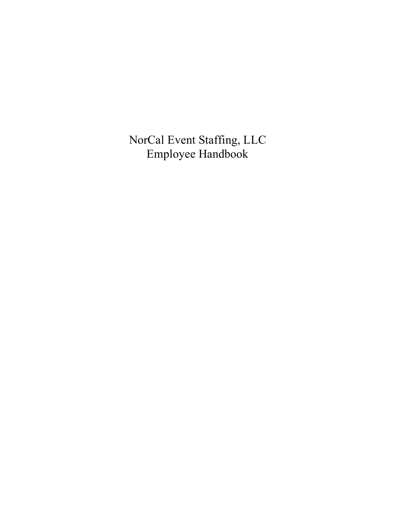NorCal Event Staffing, LLC Employee Handbook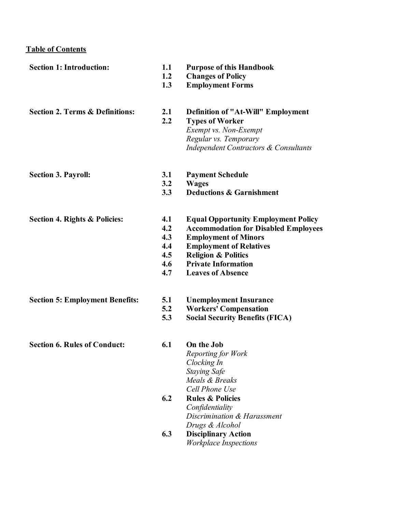# **Table of Contents**

| <b>Section 1: Introduction:</b>            | 1.1<br>1.2<br>1.3                             | <b>Purpose of this Handbook</b><br><b>Changes of Policy</b><br><b>Employment Forms</b>                                                                                                                                                                 |
|--------------------------------------------|-----------------------------------------------|--------------------------------------------------------------------------------------------------------------------------------------------------------------------------------------------------------------------------------------------------------|
| <b>Section 2. Terms &amp; Definitions:</b> | 2.1<br>2.2                                    | <b>Definition of "At-Will" Employment</b><br><b>Types of Worker</b><br>Exempt vs. Non-Exempt<br>Regular vs. Temporary<br><b>Independent Contractors &amp; Consultants</b>                                                                              |
| <b>Section 3. Payroll:</b>                 | 3.1<br>3.2<br>3.3                             | <b>Payment Schedule</b><br><b>Wages</b><br><b>Deductions &amp; Garnishment</b>                                                                                                                                                                         |
| <b>Section 4. Rights &amp; Policies:</b>   | 4.1<br>4.2<br>4.3<br>4.4<br>4.5<br>4.6<br>4.7 | <b>Equal Opportunity Employment Policy</b><br><b>Accommodation for Disabled Employees</b><br><b>Employment of Minors</b><br><b>Employment of Relatives</b><br><b>Religion &amp; Politics</b><br><b>Private Information</b><br><b>Leaves of Absence</b> |
| <b>Section 5: Employment Benefits:</b>     | 5.1<br>5.2<br>5.3                             | <b>Unemployment Insurance</b><br><b>Workers' Compensation</b><br><b>Social Security Benefits (FICA)</b>                                                                                                                                                |
| <b>Section 6. Rules of Conduct:</b>        | 6.1                                           | On the Job<br>Reporting for Work<br>Clocking In<br><b>Staying Safe</b><br>Meals & Breaks<br>Cell Phone Use                                                                                                                                             |
|                                            | 6.2                                           | <b>Rules &amp; Policies</b><br>Confidentiality<br>Discrimination & Harassment<br>Drugs & Alcohol                                                                                                                                                       |
|                                            | 6.3                                           | <b>Disciplinary Action</b><br><b>Workplace Inspections</b>                                                                                                                                                                                             |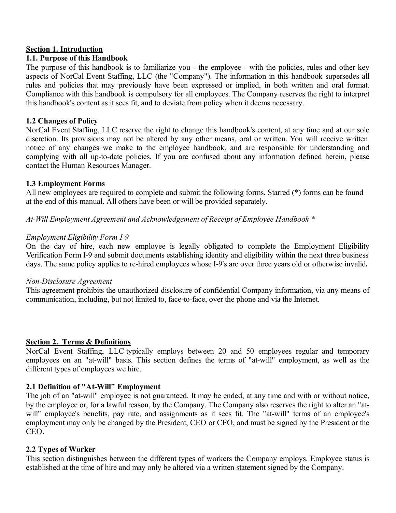#### **Section 1. Introduction**

#### **1.1. Purpose of this Handbook**

The purpose of this handbook is to familiarize you - the employee - with the policies, rules and other key aspects of NorCal Event Staffing, LLC (the "Company"). The information in this handbook supersedes all rules and policies that may previously have been expressed or implied, in both written and oral format. Compliance with this handbook is compulsory for all employees. The Company reserves the right to interpret this handbook's content as it sees fit, and to deviate from policy when it deems necessary.

### **1.2 Changes of Policy**

NorCal Event Staffing, LLC reserve the right to change this handbook's content, at any time and at our sole discretion. Its provisions may not be altered by any other means, oral or written. You will receive written notice of any changes we make to the employee handbook, and are responsible for understanding and complying with all up-to-date policies. If you are confused about any information defined herein, please contact the Human Resources Manager.

### **1.3 Employment Forms**

All new employees are required to complete and submit the following forms. Starred (\*) forms can be found at the end of this manual. All others have been or will be provided separately.

*At-Will Employment Agreement and Acknowledgement of Receipt of Employee Handbook \**

### *Employment Eligibility Form I-9*

On the day of hire, each new employee is legally obligated to complete the Employment Eligibility Verification Form I-9 and submit documents establishing identity and eligibility within the next three business days. The same policy applies to re-hired employees whose I-9's are over three years old or otherwise invalid**.**

#### *Non-Disclosure Agreement*

This agreement prohibits the unauthorized disclosure of confidential Company information, via any means of communication, including, but not limited to, face-to-face, over the phone and via the Internet.

# **Section 2. Terms & Definitions**

NorCal Event Staffing, LLC typically employs between 20 and 50 employees regular and temporary employees on an "at-will" basis. This section defines the terms of "at-will" employment, as well as the different types of employees we hire.

# **2.1 Definition of "At-Will" Employment**

The job of an "at-will" employee is not guaranteed. It may be ended, at any time and with or without notice, by the employee or, for a lawful reason, by the Company. The Company also reserves the right to alter an "atwill" employee's benefits, pay rate, and assignments as it sees fit. The "at-will" terms of an employee's employment may only be changed by the President, CEO or CFO, and must be signed by the President or the CEO.

# **2.2 Types of Worker**

This section distinguishes between the different types of workers the Company employs. Employee status is established at the time of hire and may only be altered via a written statement signed by the Company.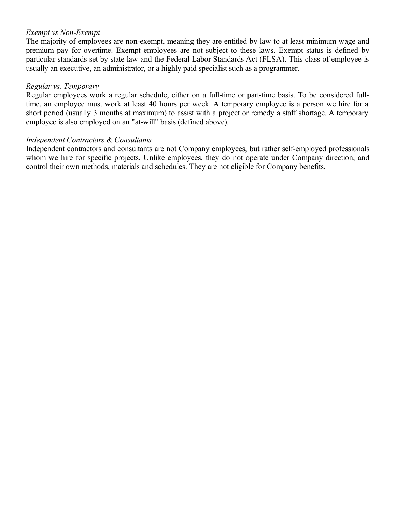# *Exempt vs Non-Exempt*

The majority of employees are non-exempt, meaning they are entitled by law to at least minimum wage and premium pay for overtime. Exempt employees are not subject to these laws. Exempt status is defined by particular standards set by state law and the Federal Labor Standards Act (FLSA). This class of employee is usually an executive, an administrator, or a highly paid specialist such as a programmer.

#### *Regular vs. Temporary*

Regular employees work a regular schedule, either on a full-time or part-time basis. To be considered fulltime, an employee must work at least 40 hours per week. A temporary employee is a person we hire for a short period (usually 3 months at maximum) to assist with a project or remedy a staff shortage. A temporary employee is also employed on an "at-will" basis (defined above).

### *Independent Contractors & Consultants*

Independent contractors and consultants are not Company employees, but rather self-employed professionals whom we hire for specific projects. Unlike employees, they do not operate under Company direction, and control their own methods, materials and schedules. They are not eligible for Company benefits.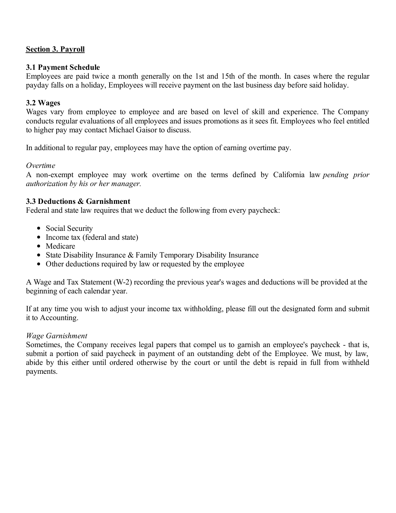# **Section 3. Payroll**

### **3.1 Payment Schedule**

Employees are paid twice a month generally on the 1st and 15th of the month. In cases where the regular payday falls on a holiday, Employees will receive payment on the last business day before said holiday.

### **3.2 Wages**

Wages vary from employee to employee and are based on level of skill and experience. The Company conducts regular evaluations of all employees and issues promotions as it sees fit. Employees who feel entitled to higher pay may contact Michael Gaisor to discuss.

In additional to regular pay, employees may have the option of earning overtime pay.

### *Overtime*

A non-exempt employee may work overtime on the terms defined by California law *pending prior authorization by his or her manager.*

### **3.3 Deductions & Garnishment**

Federal and state law requires that we deduct the following from every paycheck:

- Social Security
- Income tax (federal and state)
- Medicare
- State Disability Insurance & Family Temporary Disability Insurance
- Other deductions required by law or requested by the employee

A Wage and Tax Statement (W-2) recording the previous year's wages and deductions will be provided at the beginning of each calendar year.

If at any time you wish to adjust your income tax withholding, please fill out the designated form and submit it to Accounting.

#### *Wage Garnishment*

Sometimes, the Company receives legal papers that compel us to garnish an employee's paycheck - that is, submit a portion of said paycheck in payment of an outstanding debt of the Employee. We must, by law, abide by this either until ordered otherwise by the court or until the debt is repaid in full from withheld payments.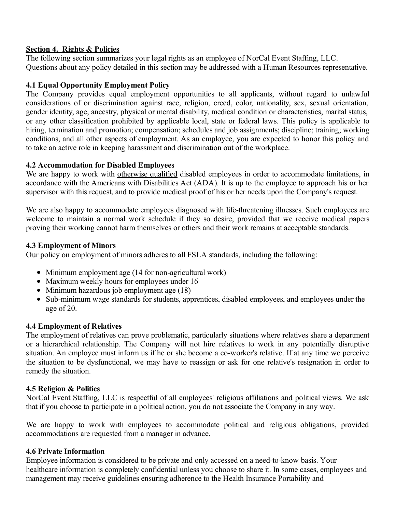### **Section 4. Rights & Policies**

The following section summarizes your legal rights as an employee of NorCal Event Staffing, LLC. Questions about any policy detailed in this section may be addressed with a Human Resources representative.

# **4.1 Equal Opportunity Employment Policy**

The Company provides equal employment opportunities to all applicants, without regard to unlawful considerations of or discrimination against race, religion, creed, color, nationality, sex, sexual orientation, gender identity, age, ancestry, physical or mental disability, medical condition or characteristics, marital status, or any other classification prohibited by applicable local, state or federal laws. This policy is applicable to hiring, termination and promotion; compensation; schedules and job assignments; discipline; training; working conditions, and all other aspects of employment. As an employee, you are expected to honor this policy and to take an active role in keeping harassment and discrimination out of the workplace.

# **4.2 Accommodation for Disabled Employees**

We are happy to work with otherwise qualified disabled employees in order to accommodate limitations, in accordance with the Americans with Disabilities Act (ADA). It is up to the employee to approach his or her supervisor with this request, and to provide medical proof of his or her needs upon the Company's request.

We are also happy to accommodate employees diagnosed with life-threatening illnesses. Such employees are welcome to maintain a normal work schedule if they so desire, provided that we receive medical papers proving their working cannot harm themselves or others and their work remains at acceptable standards.

# **4.3 Employment of Minors**

Our policy on employment of minors adheres to all FSLA standards, including the following:

- Minimum employment age (14 for non-agricultural work)
- Maximum weekly hours for employees under 16
- $\bullet$  Minimum hazardous job employment age (18)
- Sub-minimum wage standards for students, apprentices, disabled employees, and employees under the age of 20.

# **4.4 Employment of Relatives**

The employment of relatives can prove problematic, particularly situations where relatives share a department or a hierarchical relationship. The Company will not hire relatives to work in any potentially disruptive situation. An employee must inform us if he or she become a co-worker's relative. If at any time we perceive the situation to be dysfunctional, we may have to reassign or ask for one relative's resignation in order to remedy the situation.

# **4.5 Religion & Politics**

NorCal Event Staffing, LLC is respectful of all employees' religious affiliations and political views. We ask that if you choose to participate in a political action, you do not associate the Company in any way.

We are happy to work with employees to accommodate political and religious obligations, provided accommodations are requested from a manager in advance.

# **4.6 Private Information**

Employee information is considered to be private and only accessed on a need-to-know basis. Your healthcare information is completely confidential unless you choose to share it. In some cases, employees and management may receive guidelines ensuring adherence to the Health Insurance Portability and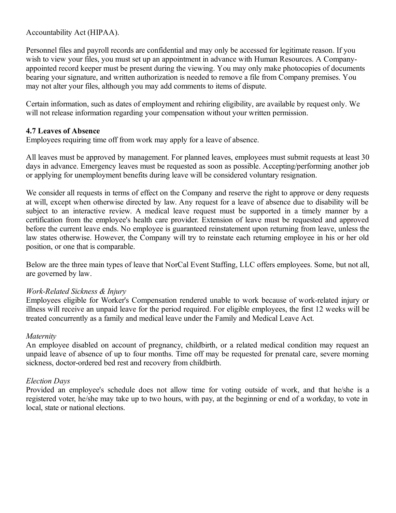Accountability Act (HIPAA).

Personnel files and payroll records are confidential and may only be accessed for legitimate reason. If you wish to view your files, you must set up an appointment in advance with Human Resources. A Companyappointed record keeper must be present during the viewing. You may only make photocopies of documents bearing your signature, and written authorization is needed to remove a file from Company premises. You may not alter your files, although you may add comments to items of dispute.

Certain information, such as dates of employment and rehiring eligibility, are available by request only. We will not release information regarding your compensation without your written permission.

# **4.7 Leaves of Absence**

Employees requiring time off from work may apply for a leave of absence.

All leaves must be approved by management. For planned leaves, employees must submit requests at least 30 days in advance. Emergency leaves must be requested as soon as possible. Accepting/performing another job or applying for unemployment benefits during leave will be considered voluntary resignation.

We consider all requests in terms of effect on the Company and reserve the right to approve or deny requests at will, except when otherwise directed by law. Any request for a leave of absence due to disability will be subject to an interactive review. A medical leave request must be supported in a timely manner by a certification from the employee's health care provider. Extension of leave must be requested and approved before the current leave ends. No employee is guaranteed reinstatement upon returning from leave, unless the law states otherwise. However, the Company will try to reinstate each returning employee in his or her old position, or one that is comparable.

Below are the three main types of leave that NorCal Event Staffing, LLC offers employees. Some, but not all, are governed by law.

# *Work-Related Sickness & Injury*

Employees eligible for Worker's Compensation rendered unable to work because of work-related injury or illness will receive an unpaid leave for the period required. For eligible employees, the first 12 weeks will be treated concurrently as a family and medical leave under the Family and Medical Leave Act.

# *Maternity*

An employee disabled on account of pregnancy, childbirth, or a related medical condition may request an unpaid leave of absence of up to four months. Time off may be requested for prenatal care, severe morning sickness, doctor-ordered bed rest and recovery from childbirth.

# *Election Days*

Provided an employee's schedule does not allow time for voting outside of work, and that he/she is a registered voter, he/she may take up to two hours, with pay, at the beginning or end of a workday, to vote in local, state or national elections.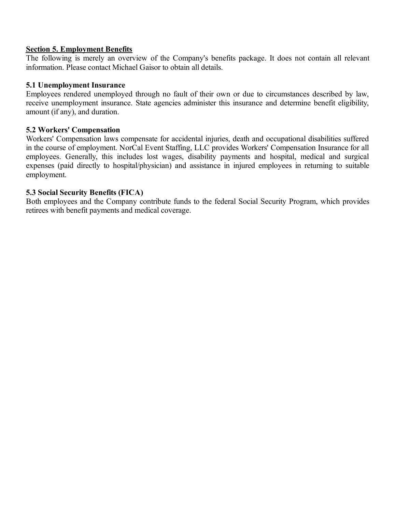#### **Section 5. Employment Benefits**

The following is merely an overview of the Company's benefits package. It does not contain all relevant information. Please contact Michael Gaisor to obtain all details.

#### **5.1 Unemployment Insurance**

Employees rendered unemployed through no fault of their own or due to circumstances described by law, receive unemployment insurance. State agencies administer this insurance and determine benefit eligibility, amount (if any), and duration.

### **5.2 Workers' Compensation**

Workers' Compensation laws compensate for accidental injuries, death and occupational disabilities suffered in the course of employment. NorCal Event Staffing, LLC provides Workers' Compensation Insurance for all employees. Generally, this includes lost wages, disability payments and hospital, medical and surgical expenses (paid directly to hospital/physician) and assistance in injured employees in returning to suitable employment.

### **5.3 Social Security Benefits (FICA)**

Both employees and the Company contribute funds to the federal Social Security Program, which provides retirees with benefit payments and medical coverage.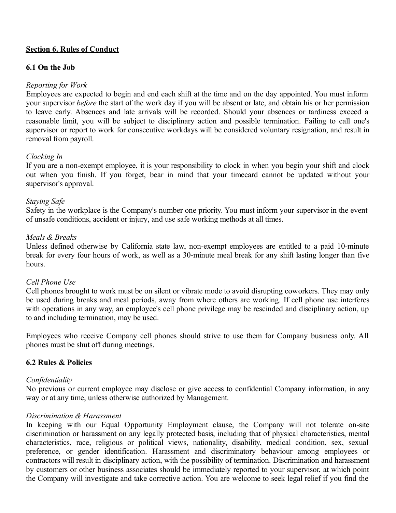### **Section 6. Rules of Conduct**

#### **6.1 On the Job**

### *Reporting for Work*

Employees are expected to begin and end each shift at the time and on the day appointed. You must inform your supervisor *before* the start of the work day if you will be absent or late, and obtain his or her permission to leave early. Absences and late arrivals will be recorded. Should your absences or tardiness exceed a reasonable limit, you will be subject to disciplinary action and possible termination. Failing to call one's supervisor or report to work for consecutive workdays will be considered voluntary resignation, and result in removal from payroll.

### *Clocking In*

If you are a non-exempt employee, it is your responsibility to clock in when you begin your shift and clock out when you finish. If you forget, bear in mind that your timecard cannot be updated without your supervisor's approval.

#### *Staying Safe*

Safety in the workplace is the Company's number one priority. You must inform your supervisor in the event of unsafe conditions, accident or injury, and use safe working methods at all times.

#### *Meals & Breaks*

Unless defined otherwise by California state law, non-exempt employees are entitled to a paid 10-minute break for every four hours of work, as well as a 30-minute meal break for any shift lasting longer than five hours.

#### *Cell Phone Use*

Cell phones brought to work must be on silent or vibrate mode to avoid disrupting coworkers. They may only be used during breaks and meal periods, away from where others are working. If cell phone use interferes with operations in any way, an employee's cell phone privilege may be rescinded and disciplinary action, up to and including termination, may be used.

Employees who receive Company cell phones should strive to use them for Company business only. All phones must be shut off during meetings.

#### **6.2 Rules & Policies**

#### *Confidentiality*

No previous or current employee may disclose or give access to confidential Company information, in any way or at any time, unless otherwise authorized by Management.

#### *Discrimination & Harassment*

In keeping with our Equal Opportunity Employment clause, the Company will not tolerate on-site discrimination or harassment on any legally protected basis, including that of physical characteristics, mental characteristics, race, religious or political views, nationality, disability, medical condition, sex, sexual preference, or gender identification. Harassment and discriminatory behaviour among employees or contractors will result in disciplinary action, with the possibility of termination. Discrimination and harassment by customers or other business associates should be immediately reported to your supervisor, at which point the Company will investigate and take corrective action. You are welcome to seek legal relief if you find the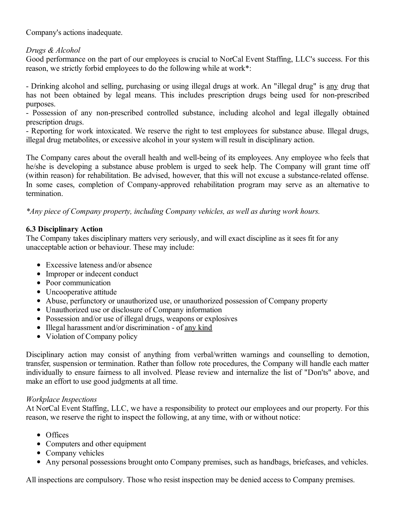Company's actions inadequate.

# *Drugs & Alcohol*

Good performance on the part of our employees is crucial to NorCal Event Staffing, LLC's success. For this reason, we strictly forbid employees to do the following while at work\*:

- Drinking alcohol and selling, purchasing or using illegal drugs at work. An "illegal drug" is any drug that has not been obtained by legal means. This includes prescription drugs being used for non-prescribed purposes.

- Possession of any non-prescribed controlled substance, including alcohol and legal illegally obtained prescription drugs.

- Reporting for work intoxicated. We reserve the right to test employees for substance abuse. Illegal drugs, illegal drug metabolites, or excessive alcohol in your system will result in disciplinary action.

The Company cares about the overall health and well-being of its employees. Any employee who feels that he/she is developing a substance abuse problem is urged to seek help. The Company will grant time off (within reason) for rehabilitation. Be advised, however, that this will not excuse a substance-related offense. In some cases, completion of Company-approved rehabilitation program may serve as an alternative to termination.

*\*Any piece of Company property, including Company vehicles, as well as during work hours.*

# **6.3 Disciplinary Action**

The Company takes disciplinary matters very seriously, and will exact discipline as it sees fit for any unacceptable action or behaviour. These may include:

- Excessive lateness and/or absence
- Improper or indecent conduct
- Poor communication
- Uncooperative attitude
- Abuse, perfunctory or unauthorized use, or unauthorized possession of Company property
- Unauthorized use or disclosure of Company information
- Possession and/or use of illegal drugs, weapons or explosives
- Illegal harassment and/or discrimination of any kind
- Violation of Company policy

Disciplinary action may consist of anything from verbal/written warnings and counselling to demotion, transfer, suspension or termination. Rather than follow rote procedures, the Company will handle each matter individually to ensure fairness to all involved. Please review and internalize the list of "Don'ts" above, and make an effort to use good judgments at all time.

# *Workplace Inspections*

At NorCal Event Staffing, LLC, we have a responsibility to protect our employees and our property. For this reason, we reserve the right to inspect the following, at any time, with or without notice:

- Offices
- Computers and other equipment
- Company vehicles
- Any personal possessions brought onto Company premises, such as handbags, briefcases, and vehicles.

All inspections are compulsory. Those who resist inspection may be denied access to Company premises.